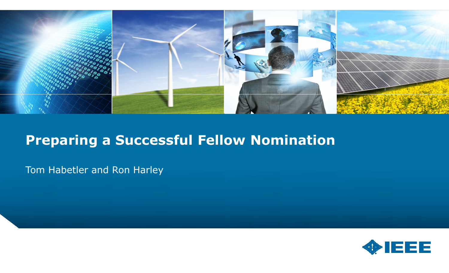

#### Preparing a Successful Fellow Nomination

Tom Habetler and Ron Harley

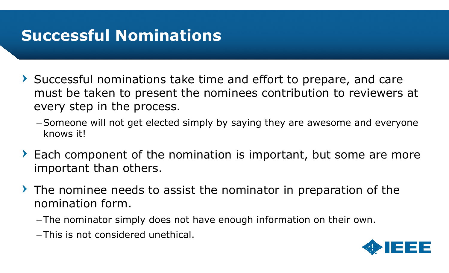### Successful Nominations

- Successful nominations take time and effort to prepare, and care must be taken to present the nominees contribution to reviewers at every step in the process.
	- –Someone will not get elected simply by saying they are awesome and everyone knows it!
- Each component of the nomination is important, but some are more important than others.
- $\triangleright$  The nominee needs to assist the nominator in preparation of the nomination form.
	- $-$ The nominator simply does not have enough information on their own.
	- $-$ This is not considered unethical.

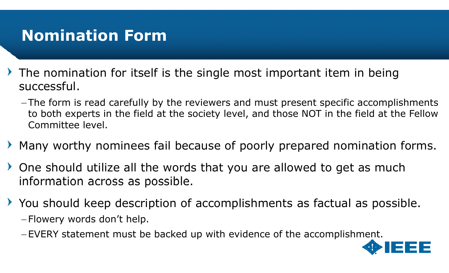### Nomination Form

- $\triangleright$  The nomination for itself is the single most important item in being successful.
	- -The form is read carefully by the reviewers and must present specific accomplishments to both experts in the field at the society level, and those NOT in the field at the Fellow Committee level.
- Many worthy nominees fail because of poorly prepared nomination forms.
- One should utilize all the words that you are allowed to get as much information across as possible.
- You should keep description of accomplishments as factual as possible.  $-$ Flowery words don't help.
	- –EVERY statement must be backed up with evidence of the accomplishment.

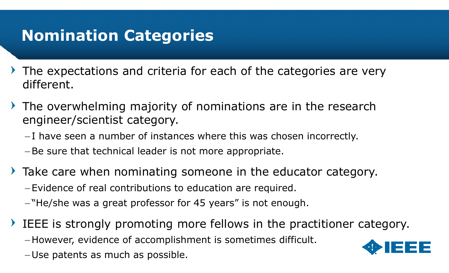# Nomination Categories

- The expectations and criteria for each of the categories are very different.
- $\rightarrow$  The overwhelming majority of nominations are in the research engineer/scientist category.
	- $-{\rm I}$  have seen a number of instances where this was chosen incorrectly.
	- –Be sure that technical leader is not more appropriate.
- Take care when nominating someone in the educator category. Evidence of real contributions to education are required.
	- $-$ "He/she was a great professor for 45 years" is not enough.
- IEEE is strongly promoting more fellows in the practitioner category. However, evidence of accomplishment is sometimes difficult. Use patents as much as possible.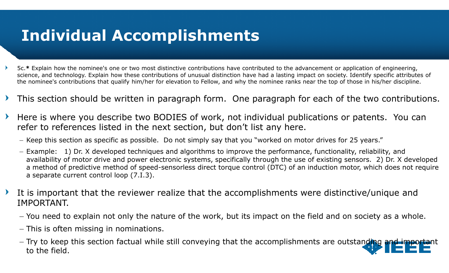# Individual Accomplishments

- 5c.\* Explain how the nominee's one or two most distinctive contributions have contributed to the advancement or application of engineering,<br>caisers and technology. Evalsin have these contributions of www.yel distinction ha science, and technology. Explain how these contributions of unusual distinction have had a lasting impact on society. Identify specific attributes of the nominee's contributions that qualify him/her for elevation to Fellow, and why the nominee ranks near the top of those in his/her discipline.
- This section should be written in paragraph form. One paragraph for each of the two contributions. $\blacktriangleright$
- Here is where you describe two BODIES of work, not individual publications or patents. You can  $\blacktriangleright$ refer to references listed in the next section, but don't list any here.
	- $-$  Keep this section as specific as possible. Do not simply say that you "worked on motor drives for 25 years."
	- Example: 1) Dr. X developed techniques and algorithms to improve the performance, functionality, reliability, and availability of motor drive and power electronic systems, specifically through the use of existing sensors. 2) Dr. X developed a method of predictive method of speed-sensorless direct torque control (DTC) of an induction motor, which does not require<br>a senarate current control loon (7 I 3) a separate current control loop (7.I.3).
- It is important that the reviewer realize that the accomplishments were distinctive/unique and  $\blacktriangleright$ IMPORTANT.
	- You need to explain not only the nature of the work, but its impact on the field and on society as a whole.
	- This is often missing in nominations.
	- Try to keep this section factual while still conveying that the accomplishments are outstanding and important to the field.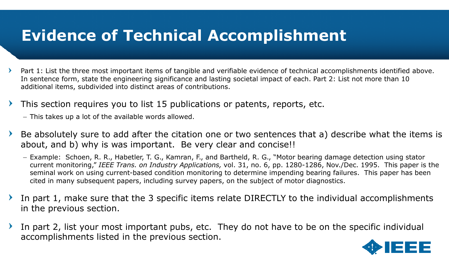### Evidence of Technical Accomplishment

- Part 1: List the three most important items of tangible and verifiable evidence of technical accomplishments identified above. In sentence form, state the engineering significance and lasting societal impact of each. Part 2: List not more than 10 additional items, subdivided into distinct areas of contributions.
- This section requires you to list 15 publications or patents, reports, etc.
	- This takes up a lot of the available words allowed.
- Be absolutely sure to add after the citation one or two sentences that a) describe what the items is  $\blacktriangleright$ about, and b) why is was important. Be very clear and concise!!
	- Example: Schoen, R. R., Habetler, T. G., Kamran, F., and Bartheld, R. G., "Motor bearing damage detection using stator current monitoring," *IEEE Trans. on Industry Applications,* vol. 31, no. 6, pp. 1280-1286, Nov./Dec. 1995. This paper is the seminal work on using current-based condition monitoring to determine impending bearing failures. This paper has been cited in many subsequent papers, including survey papers, on the subject of motor diagnostics.
- In part 1, make sure that the 3 specific items relate DIRECTLY to the individual accomplishments in the previous section.
- In part 2, list your most important pubs, etc. They do not have to be on the specific individual accomplishments listed in the previous section.

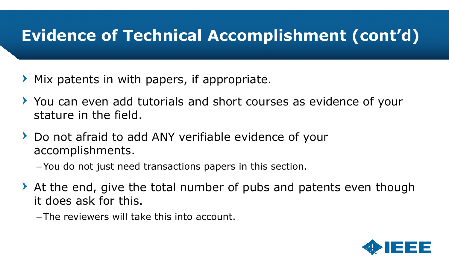# Evidence of Technical Accomplishment (cont'd)

- Mix patents in with papers, if appropriate. $\sum_{i=1}^{n} a_i$
- You can even add tutorials and short courses as evidence of your stature in the field.
- ▶ Do not afraid to add ANY verifiable evidence of your accomplishments.
	- You do not just need transactions papers in this section.
- At the end, give the total number of pubs and patents even though it does ask for this.
	- The reviewers will take this into account.

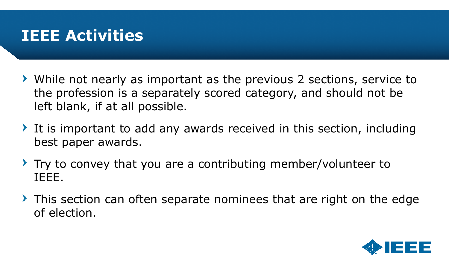### IEEE Activities

- While not nearly as important as the previous 2 sections, service to the profession is a separately scored category, and should not be left blank, if at all possible.
- It is important to add any awards received in this section, including best paper awards.
- $\triangleright$  Try to convey that you are a contributing member/volunteer to IEEE.
- $\triangleright$  This section can often separate nominees that are right on the edge of election.

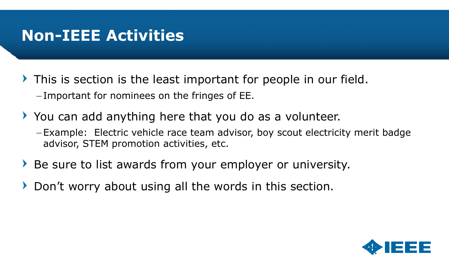### Non-IEEE Activities

- This is section is the least important for people in our field. $-$ Important for nominees on the fringes of EE.
- You can add anything here that you do as a volunteer.
	- -Example: Electric vehicle race team advisor, boy scout electricity merit badge advisor, STEM promotion activities, etc.
- Be sure to list awards from your employer or university.
- Don't worry about using all the words in this section. $\blacktriangleright$

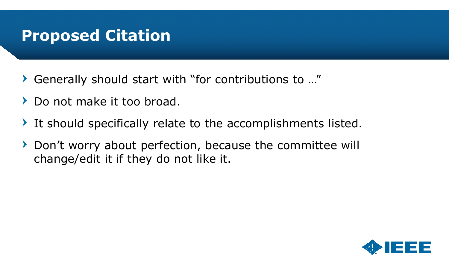#### Proposed Citation

- $\blacktriangleright$ Generally should start with "for contributions to …"
- Do not make it too broad. $\blacktriangleright$
- It should specifically relate to the accomplishments listed. $\blacktriangleright$
- Don't worry about perfection, because the committee will  $\sum_{i=1}^{n}$ change/edit it if they do not like it.

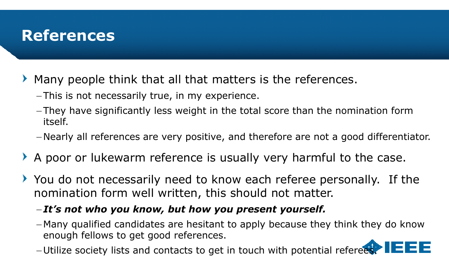#### References

- Many people think that all that matters is the references.
	- $-$ This is not necessarily true, in my experience.
	- They have significantly less weight in the total score than the nomination form itself.
	- Nearly all references are very positive, and therefore are not a good differentiator.
- A poor or lukewarm reference is usually very harmful to the case.
- You do not necessarily need to know each referee personally. If the nomination form well written, this should not matter.
	- $-{\bf It's}$  not who you know, but how you present yourself.
	- Many qualified candidates are hesitant to apply because they think they do know enough fellows to get good references.
	- $-$ Utilize society lists and contacts to get in touch with potential referees.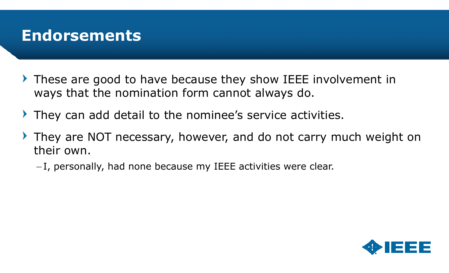#### Endorsements

- These are good to have because they show IEEE involvement in ways that the nomination form cannot always do.
- They can add detail to the nominee's service activities.
- They are NOT necessary, however, and do not carry much weight on their own.
	- $-{\rm I}$ , personally, had none because my IEEE activities were clear.